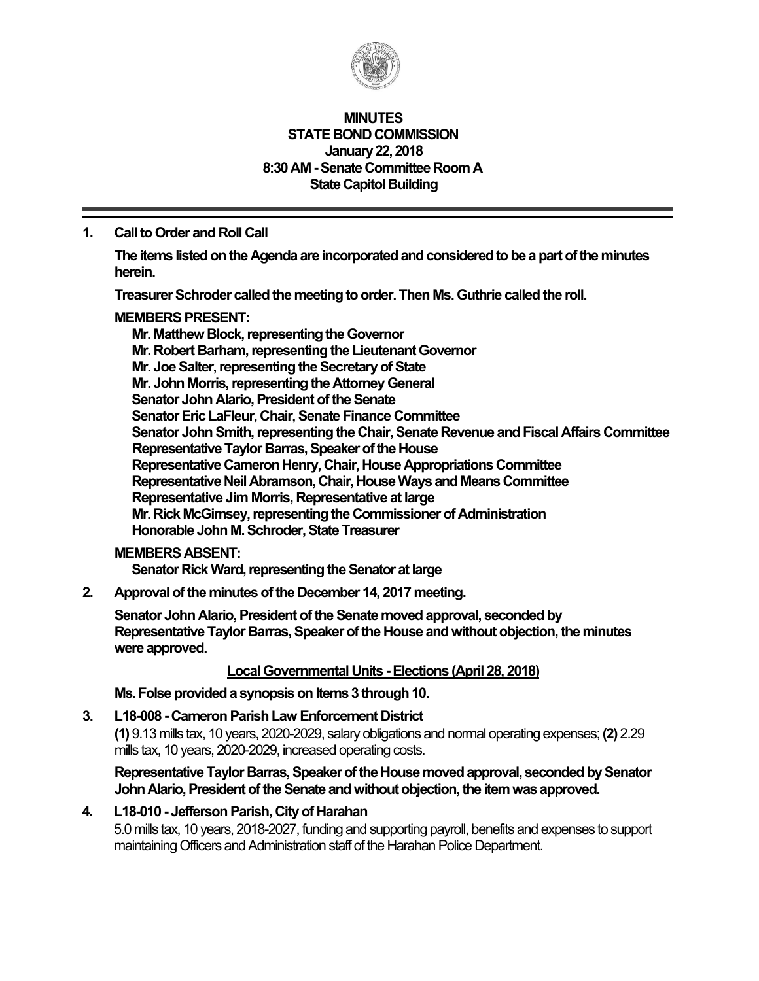

#### **MINUTES STATE BOND COMMISSION January 22, 2018 8:30 AM - Senate Committee Room A State Capitol Building**

### **1. Call to Order and Roll Call**

**The items listed on the Agenda are incorporated and considered to be a part of the minutes herein.** 

**Treasurer Schroder called the meeting to order. Then Ms. Guthrie called the roll.** 

### **MEMBERS PRESENT:**

**Mr. Matthew Block, representing the Governor Mr. Robert Barham, representing the Lieutenant Governor Mr. Joe Salter, representing the Secretary of State Mr. John Morris, representing the Attorney General Senator John Alario, President of the Senate Senator Eric LaFleur, Chair, Senate Finance Committee Senator John Smith, representing the Chair, Senate Revenue and Fiscal Affairs Committee Representative Taylor Barras, Speaker of the House Representative Cameron Henry, Chair, House Appropriations Committee Representative Neil Abramson, Chair, House Ways and Means Committee Representative Jim Morris, Representative at large Mr. Rick McGimsey, representing the Commissioner of Administration Honorable John M. Schroder, State Treasurer** 

### **MEMBERS ABSENT:**

**Senator Rick Ward, representing the Senator at large** 

**2. Approval of the minutes of the December 14, 2017 meeting.** 

**Senator John Alario, President of the Senate moved approval, seconded by Representative Taylor Barras, Speaker of the House and without objection, the minutes were approved.** 

### **Local Governmental Units - Elections (April 28, 2018)**

**Ms. Folse provided a synopsis on Items 3 through 10.** 

**3. L18-008 - Cameron Parish Law Enforcement District** 

**(1)** 9.13 mills tax, 10 years, 2020-2029, salary obligations and normal operating expenses; **(2)** 2.29 mills tax, 10 years, 2020-2029, increased operating costs.

### **Representative Taylor Barras, Speaker of the House moved approval, seconded by Senator John Alario, President of the Senate and without objection, the item was approved.**

# **4. L18-010 - Jefferson Parish, City of Harahan**

5.0 mills tax, 10 years, 2018-2027, funding and supporting payroll, benefits and expenses to support maintaining Officers and Administration staff of the Harahan Police Department.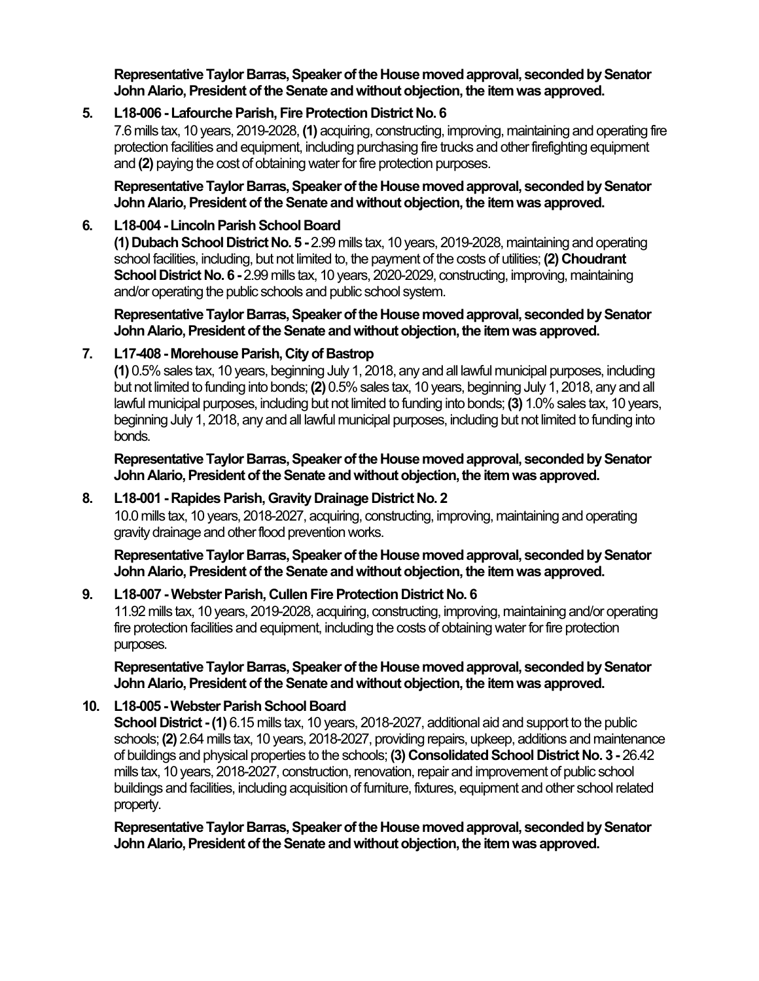**Representative Taylor Barras, Speaker of the House moved approval, seconded by Senator John Alario, President of the Senate and without objection, the item was approved.** 

### **5. L18-006 - Lafourche Parish, Fire Protection District No. 6**

7.6 mills tax, 10 years, 2019-2028, **(1)** acquiring, constructing, improving, maintaining and operating fire protection facilities and equipment, including purchasing fire trucks and other firefighting equipment and **(2)** paying the cost of obtaining water for fire protection purposes.

**Representative Taylor Barras, Speaker of the House moved approval, seconded by Senator John Alario, President of the Senate and without objection, the item was approved.** 

### **6. L18-004 - Lincoln Parish School Board**

**(1) Dubach School District No. 5 -** 2.99 mills tax, 10 years, 2019-2028, maintaining and operating school facilities, including, but not limited to, the payment of the costs of utilities; **(2) Choudrant School District No. 6 - 2.99 mills tax, 10 years, 2020-2029, constructing, improving, maintaining** and/or operating the public schools and public school system.

**Representative Taylor Barras, Speaker of the House moved approval, seconded by Senator John Alario, President of the Senate and without objection, the item was approved.** 

### **7. L17-408 - Morehouse Parish, City of Bastrop**

**(1)** 0.5% sales tax, 10 years, beginning July 1, 2018, any and all lawful municipal purposes, including but not limited to funding into bonds; **(2)** 0.5% sales tax, 10 years, beginning July 1, 2018, any and all lawful municipal purposes, including but not limited to funding into bonds; **(3)** 1.0% sales tax, 10 years, beginning July 1, 2018, any and all lawful municipal purposes, including but not limited to funding into bonds.

**Representative Taylor Barras, Speaker of the House moved approval, seconded by Senator John Alario, President of the Senate and without objection, the item was approved.** 

# **8. L18-001 - Rapides Parish, Gravity Drainage District No. 2**

10.0 mills tax, 10 years, 2018-2027, acquiring, constructing, improving, maintaining and operating gravity drainage and other flood prevention works.

**Representative Taylor Barras, Speaker of the House moved approval, seconded by Senator John Alario, President of the Senate and without objection, the item was approved.** 

# **9. L18-007 - Webster Parish, Cullen Fire Protection District No. 6**

11.92 mills tax, 10 years, 2019-2028, acquiring, constructing, improving, maintaining and/or operating fire protection facilities and equipment, including the costs of obtaining water for fire protection purposes.

**Representative Taylor Barras, Speaker of the House moved approval, seconded by Senator John Alario, President of the Senate and without objection, the item was approved.** 

# **10. L18-005 - Webster Parish School Board**

**School District - (1)** 6.15 mills tax, 10 years, 2018-2027, additional aid and support to the public schools; **(2)** 2.64 mills tax, 10 years, 2018-2027, providing repairs, upkeep, additions and maintenance of buildings and physical properties to the schools; **(3) Consolidated School District No. 3 -** 26.42 mills tax, 10 years, 2018-2027, construction, renovation, repair and improvement of public school buildings and facilities, including acquisition of furniture, fixtures, equipment and other school related property.

**Representative Taylor Barras, Speaker of the House moved approval, seconded by Senator John Alario, President of the Senate and without objection, the item was approved.**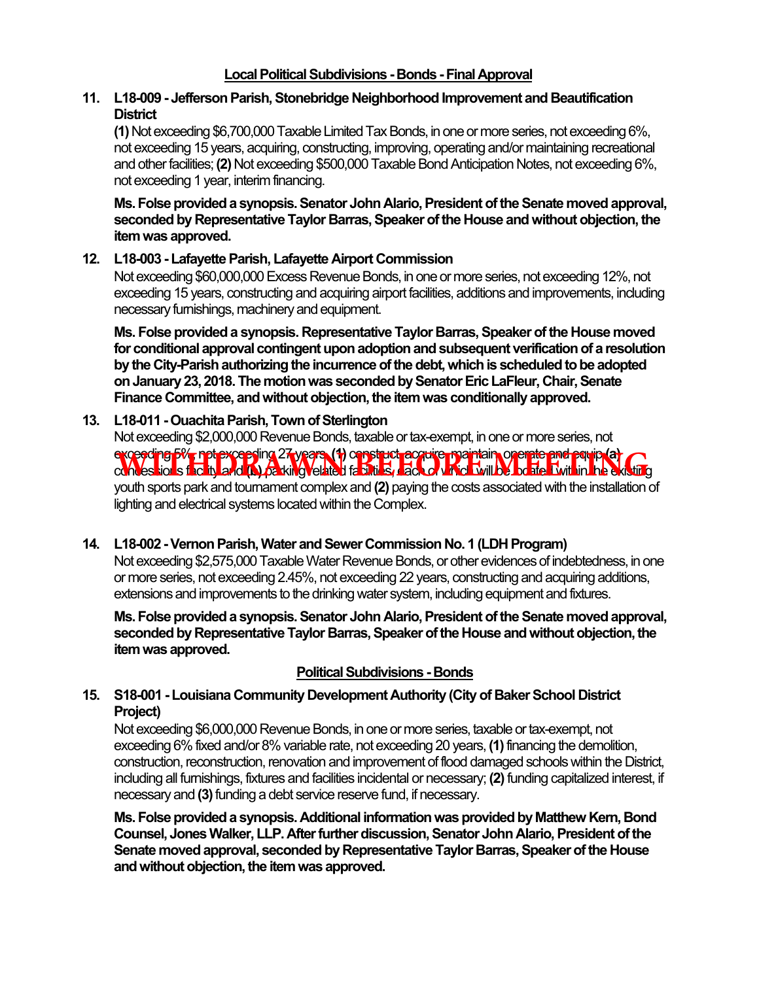### **11. L18-009 - Jefferson Parish, Stonebridge Neighborhood Improvement and Beautification District**

**(1)** Not exceeding \$6,700,000 Taxable Limited Tax Bonds, in one or more series, not exceeding 6%, not exceeding 15 years, acquiring, constructing, improving, operating and/or maintaining recreational and other facilities; **(2)** Not exceeding \$500,000 Taxable Bond Anticipation Notes, not exceeding 6%, not exceeding 1 year, interim financing.

**Ms. Folse provided a synopsis. Senator John Alario, President of the Senate moved approval, seconded by Representative Taylor Barras, Speaker of the House and without objection, the item was approved.** 

# **12. L18-003 - Lafayette Parish, Lafayette Airport Commission**

Not exceeding \$60,000,000 Excess Revenue Bonds, in one or more series, not exceeding 12%, not exceeding 15 years, constructing and acquiring airport facilities, additions and improvements, including necessary furnishings, machinery and equipment.

**Ms. Folse provided a synopsis. Representative Taylor Barras, Speaker of the House moved for conditional approval contingent upon adoption and subsequent verification of a resolution by the City-Parish authorizing the incurrence of the debt, which is scheduled to be adopted on January 23, 2018. The motion was seconded by Senator Eric LaFleur, Chair, Senate Finance Committee, and without objection, the item was conditionally approved.** 

# 13. L18-011 - Ouachita Parish, Town of Sterlington

Not exceeding \$2,000,000 Revenue Bonds, taxable or tax-exempt, in one or more series, not

# exceeding 5%, not exceeding 27 years, **(1)** construct, acquire, maintain, operate and equip **(a) exceeding by participants of wears (f) oppstuct acquire partiain operate and equip of** *CD***<br>convessions facility and <b>(b)** parking velated facilities, each of which will be beated within the existing

youth sports park and tournament complex and **(2)** paying the costs associated with the installation of lighting and electrical systems located within the Complex.

# **14. L18-002 - Vernon Parish, Water and Sewer Commission No. 1 (LDH Program)**

Not exceeding \$2,575,000 Taxable Water Revenue Bonds, or other evidences of indebtedness, in one or more series, not exceeding 2.45%, not exceeding 22 years, constructing and acquiring additions, extensions and improvements to the drinking water system, including equipment and fixtures.

**Ms. Folse provided a synopsis. Senator John Alario, President of the Senate moved approval, seconded by Representative Taylor Barras, Speaker of the House and without objection, the item was approved.** 

# **Political Subdivisions - Bonds**

# **15. S18-001 - Louisiana Community Development Authority (City of Baker School District Project)**

Not exceeding \$6,000,000 Revenue Bonds, in one or more series, taxable or tax-exempt, not exceeding 6% fixed and/or 8% variable rate, not exceeding 20 years, **(1)** financing the demolition, construction, reconstruction, renovation and improvement of flood damaged schools within the District, including all furnishings, fixtures and facilities incidental or necessary; **(2)** funding capitalized interest, if necessary and **(3)** funding a debt service reserve fund, if necessary.

**Ms. Folse provided a synopsis. Additional information was provided by Matthew Kern, Bond Counsel, Jones Walker, LLP. After further discussion, Senator John Alario, President of the Senate moved approval, seconded by Representative Taylor Barras, Speaker of the House and without objection, the item was approved.**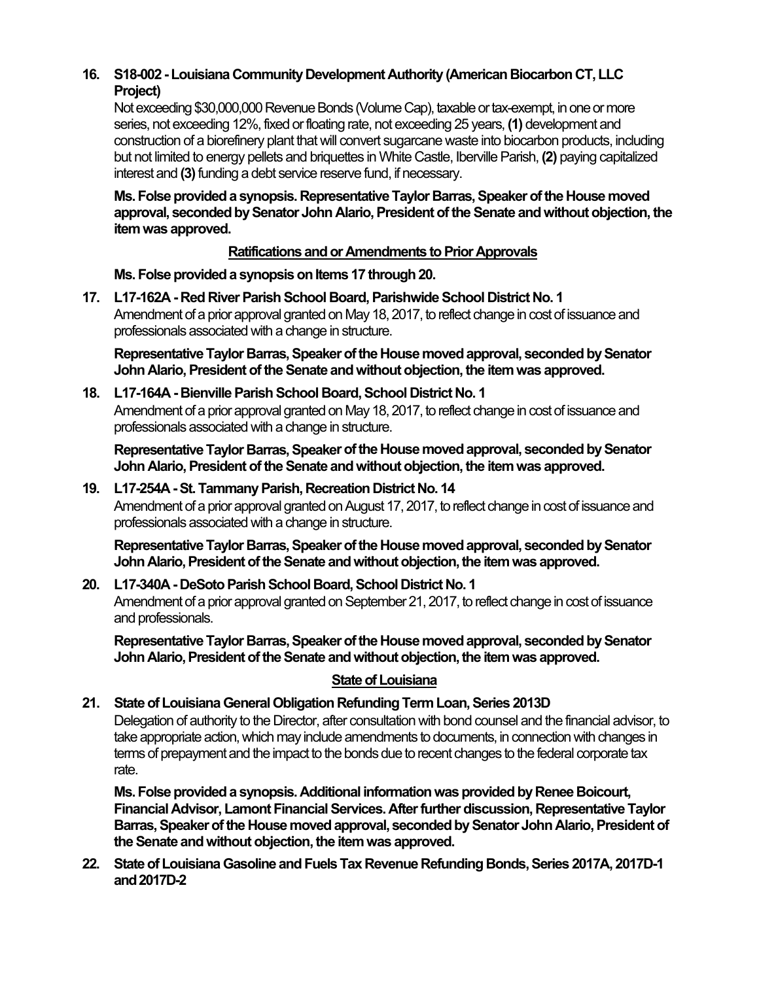# **16. S18-002 - Louisiana Community Development Authority (American Biocarbon CT, LLC Project)**

Not exceeding \$30,000,000 Revenue Bonds (Volume Cap), taxable or tax-exempt, in one or more series, not exceeding 12%, fixed or floating rate, not exceeding 25 years, **(1)** development and construction of a biorefinery plant that will convert sugarcane waste into biocarbon products, including but not limited to energy pellets and briquettes in White Castle, Iberville Parish, **(2)** paying capitalized interest and **(3)** funding a debt service reserve fund, if necessary.

**Ms. Folse provided a synopsis. Representative Taylor Barras, Speaker of the House moved approval, seconded by Senator John Alario, President of the Senate and without objection, the item was approved.** 

# **Ratifications and or Amendments to Prior Approvals**

**Ms. Folse provided a synopsis on Items 17 through 20.** 

**17. L17-162A - Red River Parish School Board, Parishwide School District No. 1**  Amendment of a prior approval granted on May 18, 2017, to reflect change in cost of issuance and professionals associated with a change in structure.

**Representative Taylor Barras, Speaker of the House moved approval, seconded by Senator John Alario, President of the Senate and without objection, the item was approved.** 

# **18. L17-164A - Bienville Parish School Board, School District No. 1**

Amendment of a prior approval granted on May 18, 2017, to reflect change in cost of issuance and professionals associated with a change in structure.

**Representative Taylor Barras, Speaker of the House moved approval, seconded by Senator John Alario, President of the Senate and without objection, the item was approved.** 

# **19. L17-254A - St. Tammany Parish, Recreation District No. 14**

Amendment of a prior approval granted on August 17, 2017, to reflect change in cost of issuance and professionals associated with a change in structure.

**Representative Taylor Barras, Speaker of the House moved approval, seconded by Senator John Alario, President of the Senate and without objection, the item was approved.** 

# **20. L17-340A - DeSoto Parish School Board, School District No. 1**

Amendment of a prior approval granted on September 21, 2017, to reflect change in cost of issuance and professionals.

**Representative Taylor Barras, Speaker of the House moved approval, seconded by Senator John Alario, President of the Senate and without objection, the item was approved.** 

# **State of Louisiana**

# **21. State of Louisiana General Obligation Refunding Term Loan, Series 2013D**

Delegation of authority to the Director, after consultation with bond counsel and the financial advisor, to take appropriate action, which may include amendments to documents, in connection with changes in terms of prepayment and the impact to the bonds due to recent changes to the federal corporate tax rate.

**Ms. Folse provided a synopsis. Additional information was provided by Renee Boicourt, Financial Advisor, Lamont Financial Services. After further discussion, Representative Taylor Barras, Speaker of the House moved approval, seconded by Senator John Alario, President of the Senate and without objection, the item was approved.** 

**22. State of Louisiana Gasoline and Fuels Tax Revenue Refunding Bonds, Series 2017A, 2017D-1 and 2017D-2**